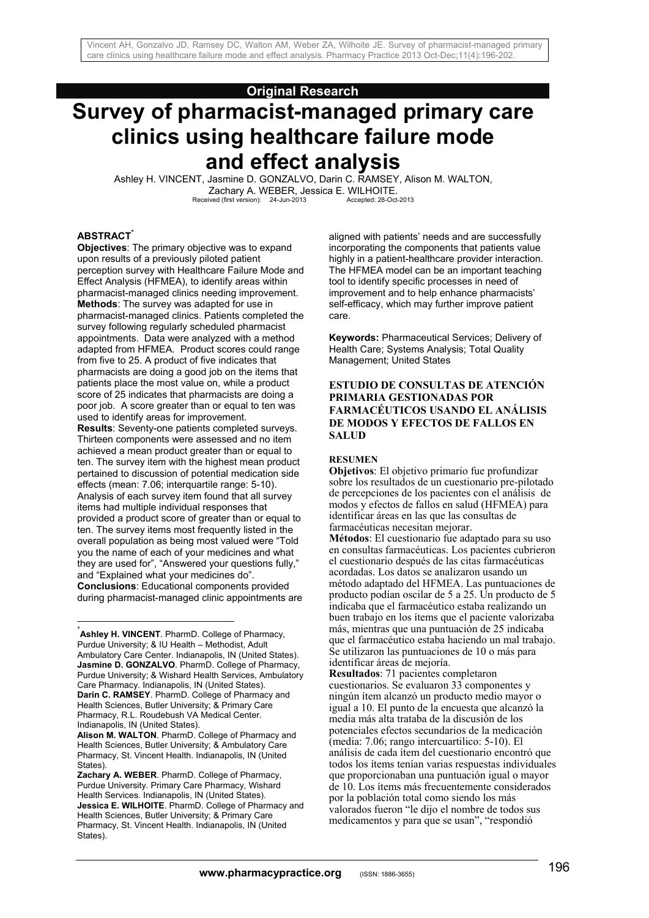## **Original Research**

# **Survey of pharmacist-managed primary care clinics using healthcare failure mode and effect analysis**

Ashley H. VINCENT, Jasmine D. GONZALVO, Darin C. RAMSEY, Alison M. WALTON, Zachary A. WEBER, Jessica E. WILHOITE.<br>Received (first version): 24-Jun-2013 Accepted: 28-Oct-2013

#### **ABSTRACT\***

<u>.</u>

**Objectives**: The primary objective was to expand upon results of a previously piloted patient perception survey with Healthcare Failure Mode and Effect Analysis (HFMEA), to identify areas within pharmacist-managed clinics needing improvement. **Methods**: The survey was adapted for use in pharmacist-managed clinics. Patients completed the survey following regularly scheduled pharmacist appointments. Data were analyzed with a method adapted from HFMEA. Product scores could range from five to 25. A product of five indicates that pharmacists are doing a good job on the items that patients place the most value on, while a product score of 25 indicates that pharmacists are doing a poor job. A score greater than or equal to ten was used to identify areas for improvement.

**Results**: Seventy-one patients completed surveys. Thirteen components were assessed and no item achieved a mean product greater than or equal to ten. The survey item with the highest mean product pertained to discussion of potential medication side effects (mean: 7.06; interquartile range: 5-10). Analysis of each survey item found that all survey items had multiple individual responses that provided a product score of greater than or equal to ten. The survey items most frequently listed in the overall population as being most valued were "Told you the name of each of your medicines and what they are used for", "Answered your questions fully," and "Explained what your medicines do". **Conclusions**: Educational components provided during pharmacist-managed clinic appointments are aligned with patients' needs and are successfully incorporating the components that patients value highly in a patient-healthcare provider interaction. The HFMEA model can be an important teaching tool to identify specific processes in need of improvement and to help enhance pharmacists' self-efficacy, which may further improve patient care.

**Keywords:** Pharmaceutical Services; Delivery of Health Care; Systems Analysis; Total Quality Management; United States

#### **ESTUDIO DE CONSULTAS DE ATENCIÓN PRIMARIA GESTIONADAS POR FARMACÉUTICOS USANDO EL ANÁLISIS DE MODOS Y EFECTOS DE FALLOS EN SALUD**

#### **RESUMEN**

**Objetivos**: El objetivo primario fue profundizar sobre los resultados de un cuestionario pre-pilotado de percepciones de los pacientes con el análisis de modos y efectos de fallos en salud (HFMEA) para identificar áreas en las que las consultas de farmacéuticas necesitan mejorar.

**Métodos**: El cuestionario fue adaptado para su uso en consultas farmacéuticas. Los pacientes cubrieron el cuestionario después de las citas farmacéuticas acordadas. Los datos se analizaron usando un método adaptado del HFMEA. Las puntuaciones de producto podían oscilar de 5 a 25. Un producto de 5 indicaba que el farmacéutico estaba realizando un buen trabajo en los ítems que el paciente valorizaba más, mientras que una puntuación de 25 indicaba que el farmacéutico estaba haciendo un mal trabajo. Se utilizaron las puntuaciones de 10 o más para identificar áreas de mejoría.

**Resultados**: 71 pacientes completaron cuestionarios. Se evaluaron 33 componentes y ningún ítem alcanzó un producto medio mayor o igual a 10. El punto de la encuesta que alcanzó la media más alta trataba de la discusión de los potenciales efectos secundarios de la medicación (media: 7.06; rango intercuartilico: 5-10). El análisis de cada ítem del cuestionario encontró que todos los ítems tenían varias respuestas individuales que proporcionaban una puntuación igual o mayor de 10. Los ítems más frecuentemente considerados por la población total como siendo los más valorados fueron "le dijo el nombre de todos sus medicamentos y para que se usan", "respondió

<sup>\*</sup> **Ashley H. VINCENT**. PharmD. College of Pharmacy, Purdue University; & IU Health – Methodist, Adult Ambulatory Care Center. Indianapolis, IN (United States). **Jasmine D. GONZALVO**. PharmD. College of Pharmacy, Purdue University; & Wishard Health Services, Ambulatory Care Pharmacy. Indianapolis, IN (United States). **Darin C. RAMSEY**. PharmD. College of Pharmacy and Health Sciences, Butler University; & Primary Care Pharmacy, R.L. Roudebush VA Medical Center. Indianapolis, IN (United States).

**Alison M. WALTON**. PharmD. College of Pharmacy and Health Sciences, Butler University; & Ambulatory Care Pharmacy, St. Vincent Health. Indianapolis, IN (United States).

**Zachary A. WEBER**. PharmD. College of Pharmacy, Purdue University. Primary Care Pharmacy, Wishard Health Services. Indianapolis, IN (United States). **Jessica E. WILHOITE**. PharmD. College of Pharmacy and Health Sciences, Butler University; & Primary Care Pharmacy, St. Vincent Health. Indianapolis, IN (United States).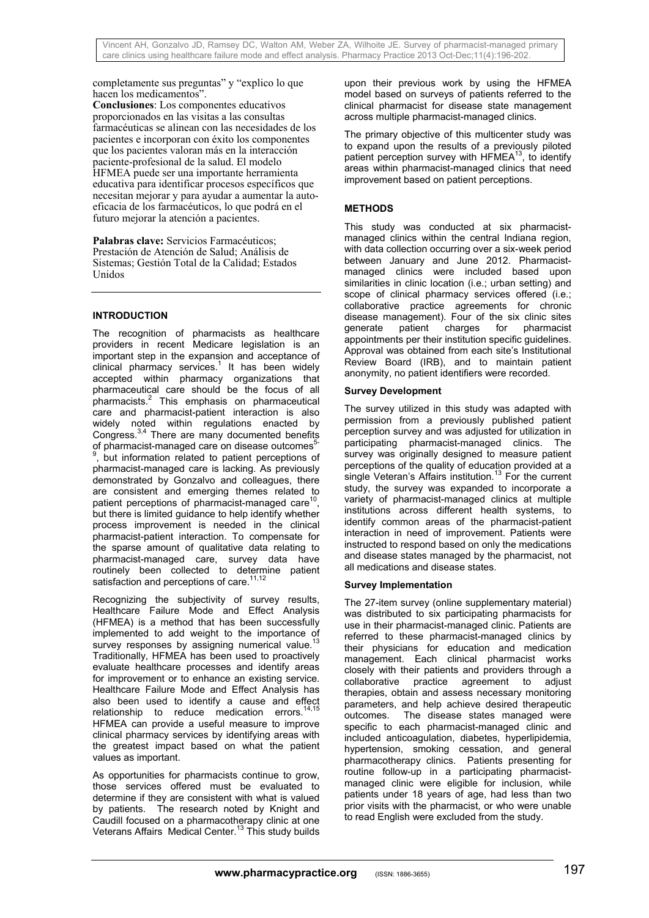completamente sus preguntas" y "explico lo que hacen los medicamentos".

**Conclusiones**: Los componentes educativos proporcionados en las visitas a las consultas farmacéuticas se alinean con las necesidades de los pacientes e incorporan con éxito los componentes que los pacientes valoran más en la interacción paciente-profesional de la salud. El modelo HFMEA puede ser una importante herramienta educativa para identificar procesos específicos que necesitan mejorar y para ayudar a aumentar la autoeficacia de los farmacéuticos, lo que podrá en el futuro mejorar la atención a pacientes.

**Palabras clave:** Servicios Farmacéuticos; Prestación de Atención de Salud; Análisis de Sistemas; Gestión Total de la Calidad; Estados Unidos

## **INTRODUCTION**

The recognition of pharmacists as healthcare providers in recent Medicare legislation is an important step in the expansion and acceptance of clinical pharmacy services.<sup>1</sup> It has been widely accepted within pharmacy organizations that pharmaceutical care should be the focus of all pharmacists.<sup>2</sup> This emphasis on pharmaceutical care and pharmacist-patient interaction is also widely noted within regulations enacted by Congress.<sup>3,4</sup> There are many documented benefits of pharmacist-managed care on disease outcomes<sup>5-</sup> , but information related to patient perceptions of pharmacist-managed care is lacking. As previously demonstrated by Gonzalvo and colleagues, there are consistent and emerging themes related to patient perceptions of pharmacist-managed care<sup>1</sup> but there is limited guidance to help identify whether process improvement is needed in the clinical pharmacist-patient interaction. To compensate for the sparse amount of qualitative data relating to pharmacist-managed care, survey data have routinely been collected to determine patient satisfaction and perceptions of care.<sup>11,12</sup>

Recognizing the subjectivity of survey results, Healthcare Failure Mode and Effect Analysis (HFMEA) is a method that has been successfully implemented to add weight to the importance of survey responses by assigning numerical value.<sup>13</sup> Traditionally, HFMEA has been used to proactively evaluate healthcare processes and identify areas for improvement or to enhance an existing service. Healthcare Failure Mode and Effect Analysis has also been used to identify a cause and effect relationship to reduce medication errors.<sup>14,15</sup> HFMEA can provide a useful measure to improve clinical pharmacy services by identifying areas with the greatest impact based on what the patient values as important.

As opportunities for pharmacists continue to grow, those services offered must be evaluated to determine if they are consistent with what is valued by patients. The research noted by Knight and Caudill focused on a pharmacotherapy clinic at one Veterans Affairs Medical Center.13 This study builds upon their previous work by using the HFMEA model based on surveys of patients referred to the clinical pharmacist for disease state management across multiple pharmacist-managed clinics.

The primary objective of this multicenter study was to expand upon the results of a previously piloted patient perception survey with HFMEA $<sup>13</sup>$ , to identify</sup> areas within pharmacist-managed clinics that need improvement based on patient perceptions.

# **METHODS**

This study was conducted at six pharmacistmanaged clinics within the central Indiana region. with data collection occurring over a six-week period between January and June 2012. Pharmacistmanaged clinics were included based upon similarities in clinic location (i.e.; urban setting) and scope of clinical pharmacy services offered (i.e.; collaborative practice agreements for chronic disease management). Four of the six clinic sites<br>generate patient charges for pharmacist patient charges for pharmacist appointments per their institution specific guidelines. Approval was obtained from each site's Institutional Review Board (IRB), and to maintain patient anonymity, no patient identifiers were recorded.

## **Survey Development**

The survey utilized in this study was adapted with permission from a previously published patient perception survey and was adjusted for utilization in participating pharmacist-managed clinics. The survey was originally designed to measure patient perceptions of the quality of education provided at a single Veteran's Affairs institution.<sup>13</sup> For the current study, the survey was expanded to incorporate a variety of pharmacist-managed clinics at multiple institutions across different health systems, to identify common areas of the pharmacist-patient interaction in need of improvement. Patients were instructed to respond based on only the medications and disease states managed by the pharmacist, not all medications and disease states.

#### **Survey Implementation**

The 27-item survey (online supplementary material) was distributed to six participating pharmacists for use in their pharmacist-managed clinic. Patients are referred to these pharmacist-managed clinics by their physicians for education and medication management. Each clinical pharmacist works closely with their patients and providers through a collaborative practice agreement to adjust therapies, obtain and assess necessary monitoring parameters, and help achieve desired therapeutic outcomes. The disease states managed were specific to each pharmacist-managed clinic and included anticoagulation, diabetes, hyperlipidemia, hypertension, smoking cessation, and general pharmacotherapy clinics. Patients presenting for routine follow-up in a participating pharmacistmanaged clinic were eligible for inclusion, while patients under 18 years of age, had less than two prior visits with the pharmacist, or who were unable to read English were excluded from the study.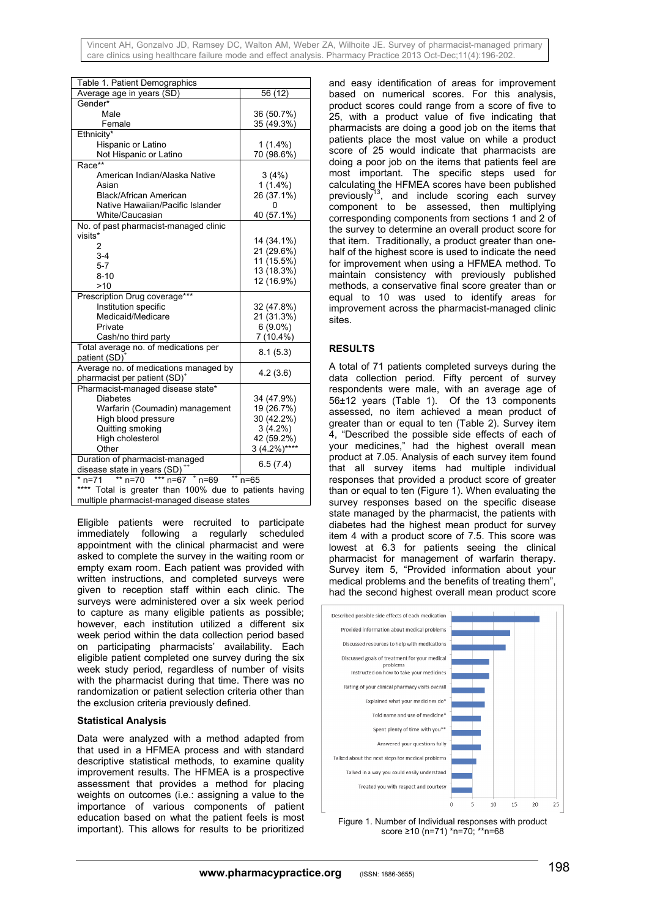Vincent AH, Gonzalvo JD, Ramsey DC, Walton AM, Weber ZA, Wilhoite JE. Survey of pharmacist-managed primary care clinics using healthcare failure mode and effect analysis. Pharmacy Practice 2013 Oct-Dec;11(4):196-202.

| Table 1. Patient Demographics                             |               |  |
|-----------------------------------------------------------|---------------|--|
| Average age in years (SD)                                 | 56 (12)       |  |
| Gender*                                                   |               |  |
| Male                                                      | 36 (50.7%)    |  |
| Female                                                    | 35 (49.3%)    |  |
| Ethnicity*                                                |               |  |
| Hispanic or Latino                                        | $1(1.4\%)$    |  |
| Not Hispanic or Latino                                    | 70 (98.6%)    |  |
| Race**                                                    |               |  |
| American Indian/Alaska Native                             | 3(4%)         |  |
| Asian                                                     | $1(1.4\%)$    |  |
| <b>Black/African American</b>                             | 26 (37.1%)    |  |
| Native Hawaiian/Pacific Islander                          | 0             |  |
| White/Caucasian                                           | 40 (57.1%)    |  |
| No. of past pharmacist-managed clinic                     |               |  |
| visits*                                                   | 14 (34.1%)    |  |
| 2                                                         | 21 (29.6%)    |  |
| $3 - 4$                                                   | 11 (15.5%)    |  |
| $5 - 7$                                                   | 13 (18.3%)    |  |
| $8 - 10$                                                  | 12 (16.9%)    |  |
| >10                                                       |               |  |
| Prescription Drug coverage***                             |               |  |
| Institution specific                                      | 32 (47.8%)    |  |
| Medicaid/Medicare                                         | 21 (31.3%)    |  |
| Private                                                   | $6(9.0\%)$    |  |
| Cash/no third party                                       | $7(10.4\%)$   |  |
| Total average no. of medications per                      | 8.1(5.3)      |  |
| patient (SD)                                              |               |  |
| Average no. of medications managed by                     | 4.2(3.6)      |  |
| pharmacist per patient (SD) <sup>+</sup>                  |               |  |
| Pharmacist-managed disease state*                         |               |  |
| <b>Diabetes</b>                                           | 34 (47.9%)    |  |
| Warfarin (Coumadin) management                            | 19 (26.7%)    |  |
| High blood pressure                                       | 30 (42.2%)    |  |
| Quitting smoking                                          | $3(4.2\%)$    |  |
| High cholesterol                                          | 42 (59.2%)    |  |
| Other                                                     | $3(4.2\%)***$ |  |
| Duration of pharmacist-managed                            | 6.5(7.4)      |  |
| disease state in years (SD)                               |               |  |
| ** $n=70$<br>*** $n=67$ * $n=69$<br>$*$ n=71<br>$n = 65$  |               |  |
| ****<br>Total is greater than 100% due to patients having |               |  |
| multiple pharmacist-managed disease states                |               |  |

Eligible patients were recruited to participate immediately following a regularly scheduled appointment with the clinical pharmacist and were asked to complete the survey in the waiting room or empty exam room. Each patient was provided with written instructions, and completed surveys were given to reception staff within each clinic. The surveys were administered over a six week period to capture as many eligible patients as possible; however, each institution utilized a different six week period within the data collection period based on participating pharmacists' availability. Each eligible patient completed one survey during the six week study period, regardless of number of visits with the pharmacist during that time. There was no randomization or patient selection criteria other than the exclusion criteria previously defined.

#### **Statistical Analysis**

Data were analyzed with a method adapted from that used in a HFMEA process and with standard descriptive statistical methods, to examine quality improvement results. The HFMEA is a prospective assessment that provides a method for placing weights on outcomes (i.e.: assigning a value to the importance of various components of patient education based on what the patient feels is most important). This allows for results to be prioritized

and easy identification of areas for improvement based on numerical scores. For this analysis, product scores could range from a score of five to 25, with a product value of five indicating that pharmacists are doing a good job on the items that patients place the most value on while a product score of 25 would indicate that pharmacists are doing a poor job on the items that patients feel are most important. The specific steps used for calculating the HFMEA scores have been published previously<sup>13</sup>, and include scoring each survey component to be assessed, then multiplying corresponding components from sections 1 and 2 of the survey to determine an overall product score for that item. Traditionally, a product greater than onehalf of the highest score is used to indicate the need for improvement when using a HFMEA method. To maintain consistency with previously published methods, a conservative final score greater than or equal to 10 was used to identify areas for improvement across the pharmacist-managed clinic sites.

#### **RESULTS**

A total of 71 patients completed surveys during the data collection period. Fifty percent of survey respondents were male, with an average age of 56±12 years (Table 1). Of the 13 components assessed, no item achieved a mean product of greater than or equal to ten (Table 2). Survey item 4, "Described the possible side effects of each of your medicines," had the highest overall mean product at 7.05. Analysis of each survey item found that all survey items had multiple individual responses that provided a product score of greater than or equal to ten (Figure 1). When evaluating the survey responses based on the specific disease state managed by the pharmacist, the patients with diabetes had the highest mean product for survey item 4 with a product score of 7.5. This score was lowest at 6.3 for patients seeing the clinical pharmacist for management of warfarin therapy. Survey item 5, "Provided information about your medical problems and the benefits of treating them", had the second highest overall mean product score



Figure 1. Number of Individual responses with product score ≥10 (n=71) \*n=70; \*\*n=68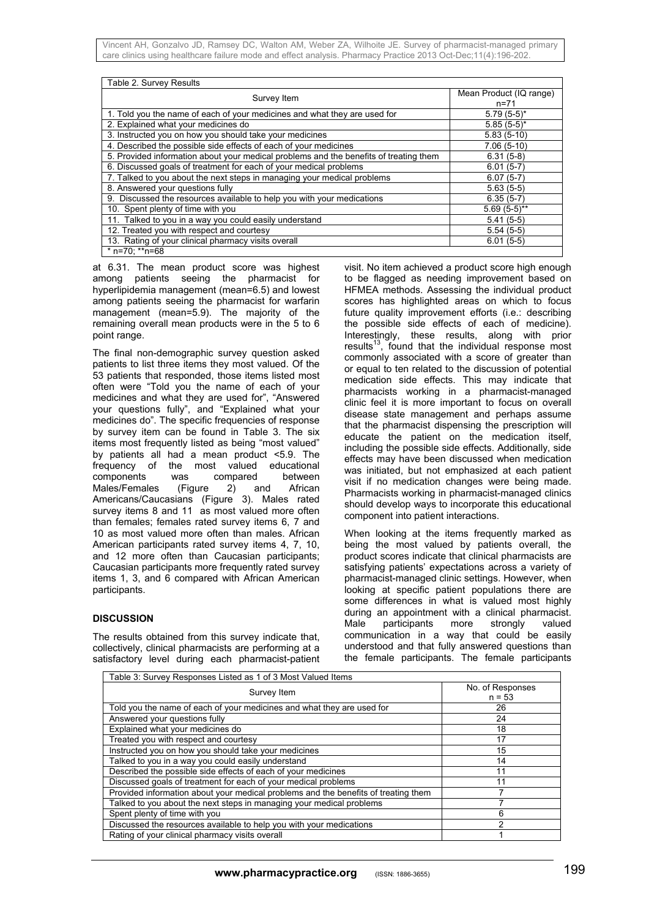Vincent AH, Gonzalvo JD, Ramsey DC, Walton AM, Weber ZA, Wilhoite JE. Survey of pharmacist-managed primary care clinics using healthcare failure mode and effect analysis. Pharmacy Practice 2013 Oct-Dec;11(4):196-202.

| Table 2. Survey Results                                                               |                         |  |
|---------------------------------------------------------------------------------------|-------------------------|--|
| Survey Item                                                                           | Mean Product (IQ range) |  |
|                                                                                       | $n = 71$                |  |
| 1. Told you the name of each of your medicines and what they are used for             | $5.79(5-5)^*$           |  |
| 2. Explained what your medicines do                                                   | $5.85(5-5)^*$           |  |
| 3. Instructed you on how you should take your medicines                               | $5.83(5-10)$            |  |
| 4. Described the possible side effects of each of your medicines                      | $7.06(5-10)$            |  |
| 5. Provided information about your medical problems and the benefits of treating them | $6.31(5-8)$             |  |
| 6. Discussed goals of treatment for each of your medical problems                     | $6.01(5-7)$             |  |
| 7. Talked to you about the next steps in managing your medical problems               | $6.07(5-7)$             |  |
| 8. Answered your questions fully                                                      | $5.63(5-5)$             |  |
| 9. Discussed the resources available to help you with your medications                | $6.35(5-7)$             |  |
| 10. Spent plenty of time with you                                                     | $5.69(5-5)$ **          |  |
| 11. Talked to you in a way you could easily understand                                | $5.41(5-5)$             |  |
| 12. Treated you with respect and courtesy                                             | $5.54(5-5)$             |  |
| 13. Rating of your clinical pharmacy visits overall                                   | $6.01(5-5)$             |  |
| * n=70; **n=68                                                                        |                         |  |

at 6.31. The mean product score was highest among patients seeing the pharmacist for hyperlipidemia management (mean=6.5) and lowest among patients seeing the pharmacist for warfarin management (mean=5.9). The majority of the remaining overall mean products were in the 5 to 6 point range.

The final non-demographic survey question asked patients to list three items they most valued. Of the 53 patients that responded, those items listed most often were "Told you the name of each of your medicines and what they are used for", "Answered your questions fully", and "Explained what your medicines do". The specific frequencies of response by survey item can be found in Table 3. The six items most frequently listed as being "most valued" by patients all had a mean product <5.9. The frequency of the most valued educational<br>components was compared between components was compared between Males/Females (Figure 2) and African Americans/Caucasians (Figure 3). Males rated survey items 8 and 11 as most valued more often than females; females rated survey items 6, 7 and 10 as most valued more often than males. African American participants rated survey items 4, 7, 10, and 12 more often than Caucasian participants; Caucasian participants more frequently rated survey items 1, 3, and 6 compared with African American participants.

#### **DISCUSSION**

The results obtained from this survey indicate that, collectively, clinical pharmacists are performing at a satisfactory level during each pharmacist-patient visit. No item achieved a product score high enough to be flagged as needing improvement based on HFMEA methods. Assessing the individual product scores has highlighted areas on which to focus future quality improvement efforts (i.e.: describing the possible side effects of each of medicine). Interestingly, these results, along with prior results<sup>13</sup>, found that the individual response most commonly associated with a score of greater than or equal to ten related to the discussion of potential medication side effects. This may indicate that pharmacists working in a pharmacist-managed clinic feel it is more important to focus on overall disease state management and perhaps assume that the pharmacist dispensing the prescription will educate the patient on the medication itself, including the possible side effects. Additionally, side effects may have been discussed when medication was initiated, but not emphasized at each patient visit if no medication changes were being made. Pharmacists working in pharmacist-managed clinics should develop ways to incorporate this educational component into patient interactions.

When looking at the items frequently marked as being the most valued by patients overall, the product scores indicate that clinical pharmacists are satisfying patients' expectations across a variety of pharmacist-managed clinic settings. However, when looking at specific patient populations there are some differences in what is valued most highly during an appointment with a clinical pharmacist. Male participants more strongly valued communication in a way that could be easily understood and that fully answered questions than the female participants. The female participants

| Table 3: Survey Responses Listed as 1 of 3 Most Valued Items                       |                              |  |
|------------------------------------------------------------------------------------|------------------------------|--|
| Survey Item                                                                        | No. of Responses<br>$n = 53$ |  |
| Told you the name of each of your medicines and what they are used for             | 26                           |  |
| Answered your questions fully                                                      | 24                           |  |
| Explained what your medicines do                                                   | 18                           |  |
| Treated you with respect and courtesy                                              | 17                           |  |
| Instructed you on how you should take your medicines                               | 15                           |  |
| Talked to you in a way you could easily understand                                 | 14                           |  |
| Described the possible side effects of each of your medicines                      | 11                           |  |
| Discussed goals of treatment for each of your medical problems                     | 11                           |  |
| Provided information about your medical problems and the benefits of treating them |                              |  |
| Talked to you about the next steps in managing your medical problems               |                              |  |
| Spent plenty of time with you                                                      | 6                            |  |
| Discussed the resources available to help you with your medications                | 2                            |  |
| Rating of your clinical pharmacy visits overall                                    |                              |  |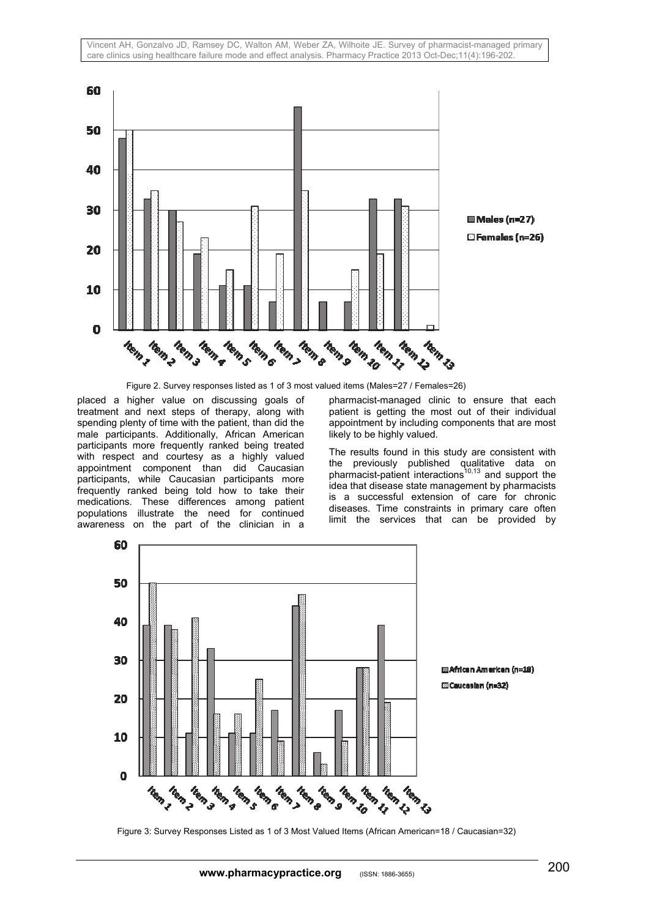Vincent AH, Gonzalvo JD, Ramsey DC, Walton AM, Weber ZA, Wilhoite JE. Survey of pharmacist-managed primary care clinics using healthcare failure mode and effect analysis. Pharmacy Practice 2013 Oct-Dec;11(4):196-202.



□ Females (n=26)

Figure 2. Survey responses listed as 1 of 3 most valued items (Males=27 / Females=26)

placed a higher value on discussing goals of treatment and next steps of therapy, along with spending plenty of time with the patient, than did the male participants. Additionally, African American participants more frequently ranked being treated with respect and courtesy as a highly valued appointment component than did Caucasian participants, while Caucasian participants more frequently ranked being told how to take their medications. These differences among patient populations illustrate the need for continued awareness on the part of the clinician in a

pharmacist-managed clinic to ensure that each patient is getting the most out of their individual appointment by including components that are most likely to be highly valued.

The results found in this study are consistent with the previously published qualitative data on pharmacist-patient interactions<sup>10,13</sup> and support the idea that disease state management by pharmacists is a successful extension of care for chronic diseases. Time constraints in primary care often limit the services that can be provided by



Figure 3: Survey Responses Listed as 1 of 3 Most Valued Items (African American=18 / Caucasian=32)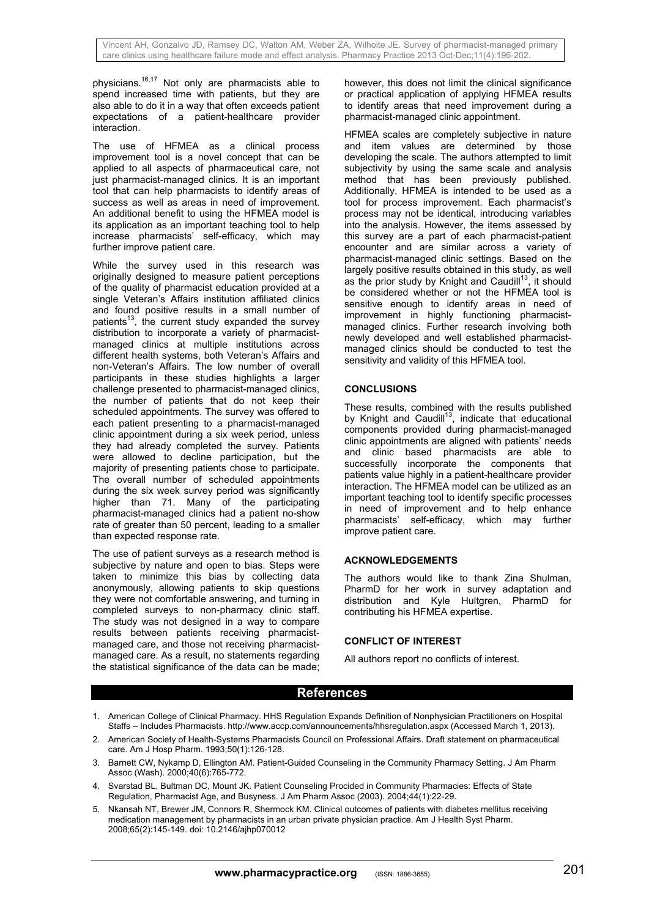physicians.16,17 Not only are pharmacists able to spend increased time with patients, but they are also able to do it in a way that often exceeds patient expectations of a patient-healthcare provider interaction.

The use of HFMEA as a clinical process improvement tool is a novel concept that can be applied to all aspects of pharmaceutical care, not just pharmacist-managed clinics. It is an important tool that can help pharmacists to identify areas of success as well as areas in need of improvement. An additional benefit to using the HFMEA model is its application as an important teaching tool to help increase pharmacists' self-efficacy, which may further improve patient care.

While the survey used in this research was originally designed to measure patient perceptions of the quality of pharmacist education provided at a single Veteran's Affairs institution affiliated clinics and found positive results in a small number of patients<sup>13</sup>, the current study expanded the survey distribution to incorporate a variety of pharmacistmanaged clinics at multiple institutions across different health systems, both Veteran's Affairs and non-Veteran's Affairs. The low number of overall participants in these studies highlights a larger challenge presented to pharmacist-managed clinics, the number of patients that do not keep their scheduled appointments. The survey was offered to each patient presenting to a pharmacist-managed clinic appointment during a six week period, unless they had already completed the survey. Patients were allowed to decline participation, but the majority of presenting patients chose to participate. The overall number of scheduled appointments during the six week survey period was significantly higher than 71. Many of the participating pharmacist-managed clinics had a patient no-show rate of greater than 50 percent, leading to a smaller than expected response rate.

The use of patient surveys as a research method is subjective by nature and open to bias. Steps were taken to minimize this bias by collecting data anonymously, allowing patients to skip questions they were not comfortable answering, and turning in completed surveys to non-pharmacy clinic staff. The study was not designed in a way to compare results between patients receiving pharmacistmanaged care, and those not receiving pharmacistmanaged care. As a result, no statements regarding the statistical significance of the data can be made; however, this does not limit the clinical significance or practical application of applying HFMEA results to identify areas that need improvement during a pharmacist-managed clinic appointment.

HFMEA scales are completely subjective in nature and item values are determined by those developing the scale. The authors attempted to limit subjectivity by using the same scale and analysis method that has been previously published. Additionally, HFMEA is intended to be used as a tool for process improvement. Each pharmacist's process may not be identical, introducing variables into the analysis. However, the items assessed by this survey are a part of each pharmacist-patient encounter and are similar across a variety of pharmacist-managed clinic settings. Based on the largely positive results obtained in this study, as well as the prior study by Knight and Caudill<sup>13</sup>, it should be considered whether or not the HFMEA tool is sensitive enough to identify areas in need of improvement in highly functioning pharmacistmanaged clinics. Further research involving both newly developed and well established pharmacistmanaged clinics should be conducted to test the sensitivity and validity of this HFMEA tool.

## **CONCLUSIONS**

These results, combined with the results published by Knight and Caudill<sup>13</sup>, indicate that educational components provided during pharmacist-managed clinic appointments are aligned with patients' needs and clinic based pharmacists are able to successfully incorporate the components that patients value highly in a patient-healthcare provider interaction. The HFMEA model can be utilized as an important teaching tool to identify specific processes in need of improvement and to help enhance pharmacists' self-efficacy, which may further improve patient care.

#### **ACKNOWLEDGEMENTS**

The authors would like to thank Zina Shulman, PharmD for her work in survey adaptation and distribution and Kyle Hultgren, PharmD for contributing his HFMEA expertise.

#### **CONFLICT OF INTEREST**

All authors report no conflicts of interest.

# **References**

- 1. American College of Clinical Pharmacy. HHS Regulation Expands Definition of Nonphysician Practitioners on Hospital Staffs – Includes Pharmacists. http://www.accp.com/announcements/hhsregulation.aspx (Accessed March 1, 2013).
- 2. American Society of Health-Systems Pharmacists Council on Professional Affairs. Draft statement on pharmaceutical care. Am J Hosp Pharm. 1993;50(1):126-128.
- 3. Barnett CW, Nykamp D, Ellington AM. Patient-Guided Counseling in the Community Pharmacy Setting. J Am Pharm Assoc (Wash). 2000;40(6):765-772.
- 4. Svarstad BL, Bultman DC, Mount JK. Patient Counseling Procided in Community Pharmacies: Effects of State Regulation, Pharmacist Age, and Busyness. J Am Pharm Assoc (2003). 2004;44(1):22-29.
- 5. Nkansah NT, Brewer JM, Connors R, Shermock KM. Clinical outcomes of patients with diabetes mellitus receiving medication management by pharmacists in an urban private physician practice. Am J Health Syst Pharm. 2008;65(2):145-149. doi: 10.2146/ajhp070012